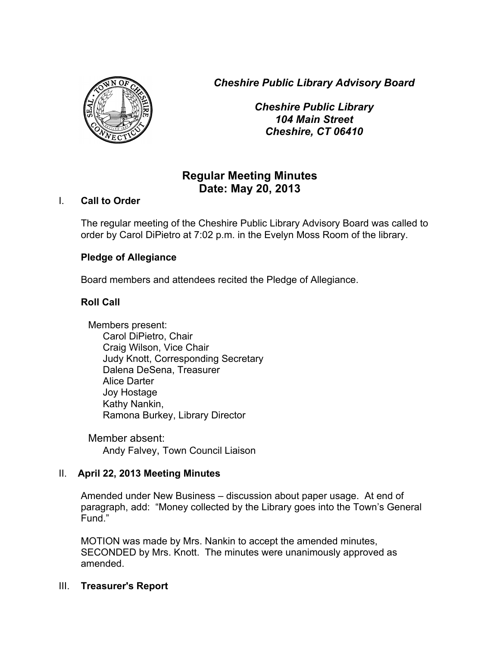*Cheshire Public Library Advisory Board*



*Cheshire Public Library 104 Main Street Cheshire, CT 06410*

# **Regular Meeting Minutes Date: May 20, 2013**

# I. **Call to Order**

The regular meeting of the Cheshire Public Library Advisory Board was called to order by Carol DiPietro at 7:02 p.m. in the Evelyn Moss Room of the library.

# **Pledge of Allegiance**

Board members and attendees recited the Pledge of Allegiance.

# **Roll Call**

Members present: Carol DiPietro, Chair Craig Wilson, Vice Chair Judy Knott, Corresponding Secretary Dalena DeSena, Treasurer Alice Darter Joy Hostage Kathy Nankin, Ramona Burkey, Library Director

Member absent: Andy Falvey, Town Council Liaison

## II. **April 22, 2013 Meeting Minutes**

Amended under New Business – discussion about paper usage. At end of paragraph, add: "Money collected by the Library goes into the Town's General Fund."

MOTION was made by Mrs. Nankin to accept the amended minutes, SECONDED by Mrs. Knott. The minutes were unanimously approved as amended.

## III. **Treasurer's Report**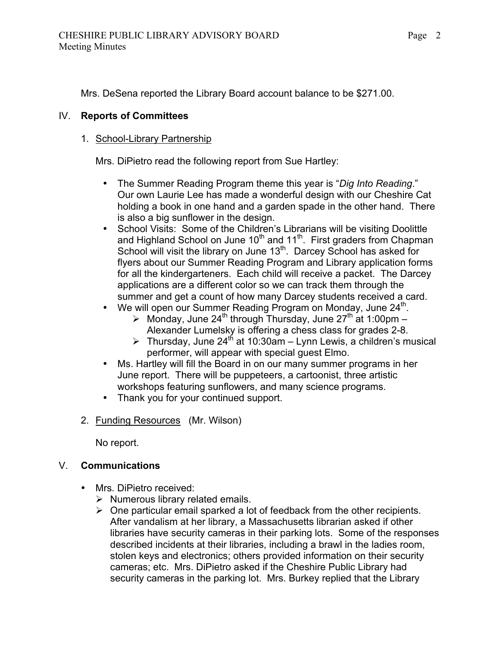Mrs. DeSena reported the Library Board account balance to be \$271.00.

# IV. **Reports of Committees**

# 1. School-Library Partnership

Mrs. DiPietro read the following report from Sue Hartley:

- The Summer Reading Program theme this year is "*Dig Into Reading*." Our own Laurie Lee has made a wonderful design with our Cheshire Cat holding a book in one hand and a garden spade in the other hand. There is also a big sunflower in the design.
- School Visits: Some of the Children's Librarians will be visiting Doolittle and Highland School on June  $10^{th}$  and  $11^{th}$ . First graders from Chapman School will visit the library on June 13<sup>th</sup>. Darcey School has asked for flyers about our Summer Reading Program and Library application forms for all the kindergarteners. Each child will receive a packet. The Darcey applications are a different color so we can track them through the summer and get a count of how many Darcey students received a card.
- We will open our Summer Reading Program on Monday, June  $24^{\text{th}}$ .
	- $\triangleright$  Monday, June 24<sup>th</sup> through Thursday, June 27<sup>th</sup> at 1:00pm Alexander Lumelsky is offering a chess class for grades 2-8.
	- $\triangleright$  Thursday, June 24<sup>th</sup> at 10:30am Lynn Lewis, a children's musical performer, will appear with special guest Elmo.
- Ms. Hartley will fill the Board in on our many summer programs in her June report. There will be puppeteers, a cartoonist, three artistic workshops featuring sunflowers, and many science programs.
- Thank you for your continued support.
- 2. Funding Resources (Mr. Wilson)

No report.

# V. **Communications**

- Mrs. DiPietro received:
	- $\triangleright$  Numerous library related emails.
	- $\triangleright$  One particular email sparked a lot of feedback from the other recipients. After vandalism at her library, a Massachusetts librarian asked if other libraries have security cameras in their parking lots. Some of the responses described incidents at their libraries, including a brawl in the ladies room, stolen keys and electronics; others provided information on their security cameras; etc. Mrs. DiPietro asked if the Cheshire Public Library had security cameras in the parking lot. Mrs. Burkey replied that the Library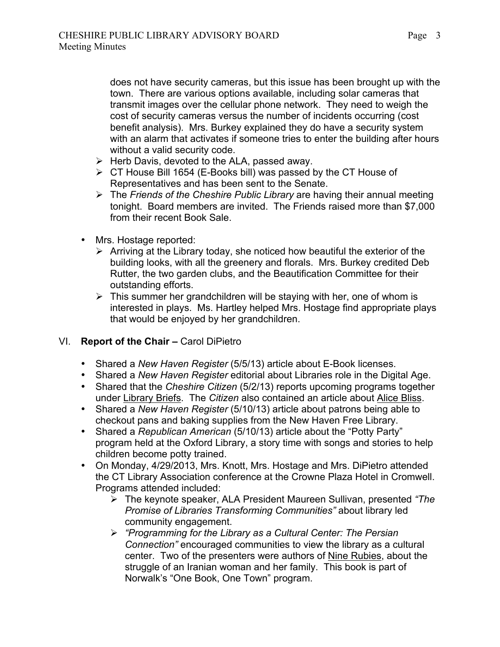does not have security cameras, but this issue has been brought up with the town. There are various options available, including solar cameras that transmit images over the cellular phone network. They need to weigh the cost of security cameras versus the number of incidents occurring (cost benefit analysis). Mrs. Burkey explained they do have a security system with an alarm that activates if someone tries to enter the building after hours without a valid security code.

- $\triangleright$  Herb Davis, devoted to the ALA, passed away.
- $\triangleright$  CT House Bill 1654 (E-Books bill) was passed by the CT House of Representatives and has been sent to the Senate.
- The *Friends of the Cheshire Public Library* are having their annual meeting tonight. Board members are invited. The Friends raised more than \$7,000 from their recent Book Sale.
- Mrs. Hostage reported:
	- $\triangleright$  Arriving at the Library today, she noticed how beautiful the exterior of the building looks, with all the greenery and florals. Mrs. Burkey credited Deb Rutter, the two garden clubs, and the Beautification Committee for their outstanding efforts.
	- $\triangleright$  This summer her grandchildren will be staying with her, one of whom is interested in plays. Ms. Hartley helped Mrs. Hostage find appropriate plays that would be enjoyed by her grandchildren.

# VI. **Report of the Chair –** Carol DiPietro

- Shared a *New Haven Register* (5/5/13) article about E-Book licenses.
- Shared a *New Haven Register* editorial about Libraries role in the Digital Age.
- Shared that the *Cheshire Citizen* (5/2/13) reports upcoming programs together under Library Briefs. The *Citizen* also contained an article about Alice Bliss.
- Shared a *New Haven Register* (5/10/13) article about patrons being able to checkout pans and baking supplies from the New Haven Free Library.
- Shared a *Republican American* (5/10/13) article about the "Potty Party" program held at the Oxford Library, a story time with songs and stories to help children become potty trained.
- On Monday, 4/29/2013, Mrs. Knott, Mrs. Hostage and Mrs. DiPietro attended the CT Library Association conference at the Crowne Plaza Hotel in Cromwell. Programs attended included:
	- The keynote speaker, ALA President Maureen Sullivan, presented *"The Promise of Libraries Transforming Communities"* about library led community engagement.
	- *"Programming for the Library as a Cultural Center: The Persian Connection"* encouraged communities to view the library as a cultural center. Two of the presenters were authors of Nine Rubies, about the struggle of an Iranian woman and her family. This book is part of Norwalk's "One Book, One Town" program.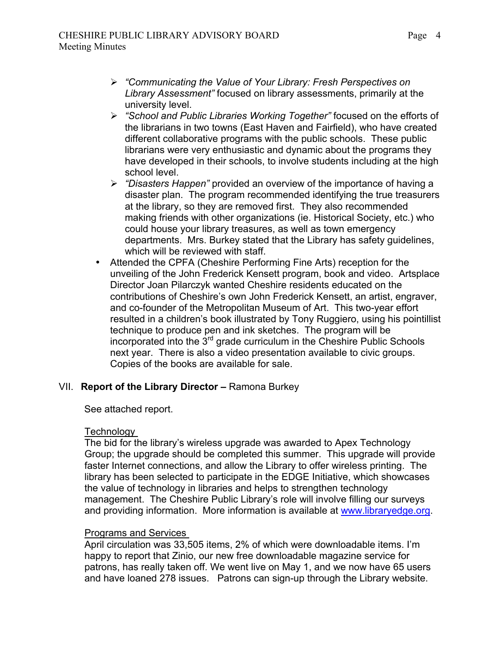- *"Communicating the Value of Your Library: Fresh Perspectives on Library Assessment"* focused on library assessments, primarily at the university level.
- *"School and Public Libraries Working Together"* focused on the efforts of the librarians in two towns (East Haven and Fairfield), who have created different collaborative programs with the public schools. These public librarians were very enthusiastic and dynamic about the programs they have developed in their schools, to involve students including at the high school level.
- *"Disasters Happen"* provided an overview of the importance of having a disaster plan. The program recommended identifying the true treasurers at the library, so they are removed first. They also recommended making friends with other organizations (ie. Historical Society, etc.) who could house your library treasures, as well as town emergency departments. Mrs. Burkey stated that the Library has safety guidelines, which will be reviewed with staff.
- Attended the CPFA (Cheshire Performing Fine Arts) reception for the unveiling of the John Frederick Kensett program, book and video. Artsplace Director Joan Pilarczyk wanted Cheshire residents educated on the contributions of Cheshire's own John Frederick Kensett, an artist, engraver, and co-founder of the Metropolitan Museum of Art. This two-year effort resulted in a children's book illustrated by Tony Ruggiero, using his pointillist technique to produce pen and ink sketches. The program will be incorporated into the  $3^{rd}$  grade curriculum in the Cheshire Public Schools next year. There is also a video presentation available to civic groups. Copies of the books are available for sale.

## VII. **Report of the Library Director –** Ramona Burkey

See attached report.

#### **Technology**

The bid for the library's wireless upgrade was awarded to Apex Technology Group; the upgrade should be completed this summer. This upgrade will provide faster Internet connections, and allow the Library to offer wireless printing. The library has been selected to participate in the EDGE Initiative, which showcases the value of technology in libraries and helps to strengthen technology management. The Cheshire Public Library's role will involve filling our surveys and providing information. More information is available at www.libraryedge.org.

#### Programs and Services

April circulation was 33,505 items, 2% of which were downloadable items. I'm happy to report that Zinio, our new free downloadable magazine service for patrons, has really taken off. We went live on May 1, and we now have 65 users and have loaned 278 issues. Patrons can sign-up through the Library website.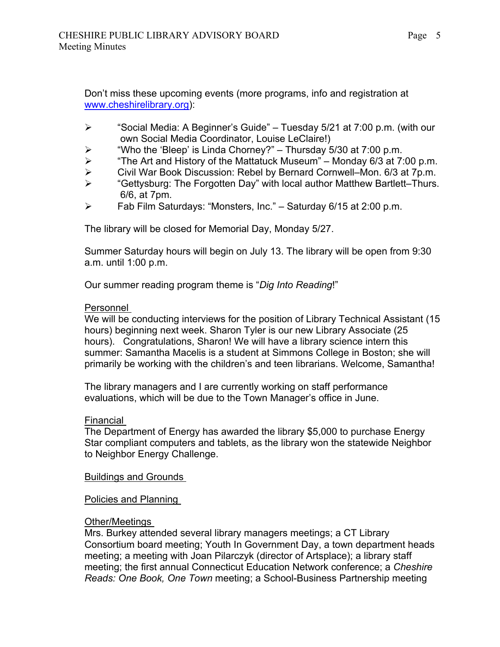Don't miss these upcoming events (more programs, info and registration at www.cheshirelibrary.org):

- $\triangleright$  "Social Media: A Beginner's Guide" Tuesday 5/21 at 7:00 p.m. (with our own Social Media Coordinator, Louise LeClaire!)
- $\triangleright$  "Who the 'Bleep' is Linda Chorney?" Thursday 5/30 at 7:00 p.m.
- > The Art and History of the Mattatuck Museum" Monday 6/3 at 7:00 p.m.<br>→ Civil War Book Discussion: Rebel by Bernard Cornwell–Mon. 6/3 at 7p.m.
- > Civil War Book Discussion: Rebel by Bernard Cornwell–Mon. 6/3 at 7p.m.<br>► Gettysburg: The Forgotten Day" with local author Matthew Bartlett–Thurs
- "Gettysburg: The Forgotten Day" with local author Matthew Bartlett–Thurs. 6/6, at 7pm.
- $\triangleright$  Fab Film Saturdays: "Monsters, Inc." Saturday 6/15 at 2:00 p.m.

The library will be closed for Memorial Day, Monday 5/27.

Summer Saturday hours will begin on July 13. The library will be open from 9:30 a.m. until 1:00 p.m.

Our summer reading program theme is "*Dig Into Reading*!"

#### Personnel

We will be conducting interviews for the position of Library Technical Assistant (15 hours) beginning next week. Sharon Tyler is our new Library Associate (25 hours). Congratulations, Sharon! We will have a library science intern this summer: Samantha Macelis is a student at Simmons College in Boston; she will primarily be working with the children's and teen librarians. Welcome, Samantha!

The library managers and I are currently working on staff performance evaluations, which will be due to the Town Manager's office in June.

#### Financial

The Department of Energy has awarded the library \$5,000 to purchase Energy Star compliant computers and tablets, as the library won the statewide Neighbor to Neighbor Energy Challenge.

Buildings and Grounds

Policies and Planning

#### Other/Meetings

Mrs. Burkey attended several library managers meetings; a CT Library Consortium board meeting; Youth In Government Day, a town department heads meeting; a meeting with Joan Pilarczyk (director of Artsplace); a library staff meeting; the first annual Connecticut Education Network conference; a *Cheshire Reads: One Book, One Town* meeting; a School-Business Partnership meeting